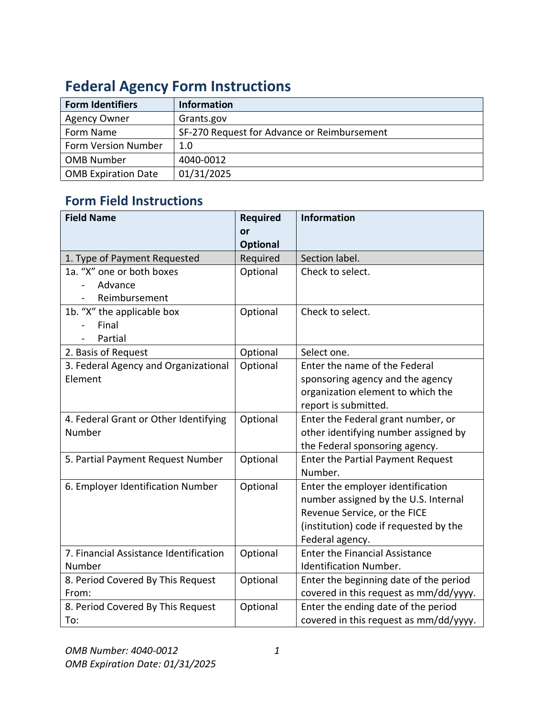| <b>Form Identifiers</b>    | <b>Information</b>                          |
|----------------------------|---------------------------------------------|
| <b>Agency Owner</b>        | Grants.gov                                  |
| Form Name                  | SF-270 Request for Advance or Reimbursement |
| Form Version Number        | 1.0                                         |
| <b>OMB Number</b>          | 4040-0012                                   |
| <b>OMB Expiration Date</b> | 01/31/2025                                  |

## **Federal Agency Form Instructions**

## **Form Field Instructions**

| <b>Field Name</b>                      | <b>Required</b> | <b>Information</b>                       |
|----------------------------------------|-----------------|------------------------------------------|
|                                        | or              |                                          |
|                                        | <b>Optional</b> |                                          |
| 1. Type of Payment Requested           | Required        | Section label.                           |
| 1a. "X" one or both boxes              | Optional        | Check to select.                         |
| Advance                                |                 |                                          |
| Reimbursement                          |                 |                                          |
| 1b. "X" the applicable box             | Optional        | Check to select.                         |
| Final                                  |                 |                                          |
| Partial                                |                 |                                          |
| 2. Basis of Request                    | Optional        | Select one.                              |
| 3. Federal Agency and Organizational   | Optional        | Enter the name of the Federal            |
| Element                                |                 | sponsoring agency and the agency         |
|                                        |                 | organization element to which the        |
|                                        |                 | report is submitted.                     |
| 4. Federal Grant or Other Identifying  | Optional        | Enter the Federal grant number, or       |
| Number                                 |                 | other identifying number assigned by     |
|                                        |                 | the Federal sponsoring agency.           |
| 5. Partial Payment Request Number      | Optional        | <b>Enter the Partial Payment Request</b> |
|                                        |                 | Number.                                  |
| 6. Employer Identification Number      | Optional        | Enter the employer identification        |
|                                        |                 | number assigned by the U.S. Internal     |
|                                        |                 | Revenue Service, or the FICE             |
|                                        |                 | (institution) code if requested by the   |
|                                        |                 | Federal agency.                          |
| 7. Financial Assistance Identification | Optional        | <b>Enter the Financial Assistance</b>    |
| Number                                 |                 | <b>Identification Number.</b>            |
| 8. Period Covered By This Request      | Optional        | Enter the beginning date of the period   |
| From:                                  |                 | covered in this request as mm/dd/yyyy.   |
| 8. Period Covered By This Request      | Optional        | Enter the ending date of the period      |
| To:                                    |                 | covered in this request as mm/dd/yyyy.   |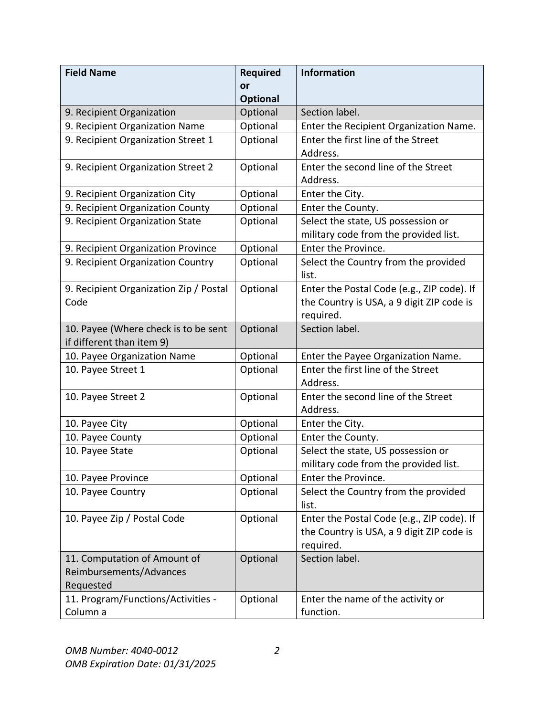| <b>Field Name</b>                      | <b>Required</b> | <b>Information</b>                             |
|----------------------------------------|-----------------|------------------------------------------------|
|                                        | or              |                                                |
|                                        | <b>Optional</b> |                                                |
| 9. Recipient Organization              | Optional        | Section label.                                 |
| 9. Recipient Organization Name         | Optional        | Enter the Recipient Organization Name.         |
| 9. Recipient Organization Street 1     | Optional        | Enter the first line of the Street             |
|                                        |                 | Address.                                       |
| 9. Recipient Organization Street 2     | Optional        | Enter the second line of the Street            |
|                                        |                 | Address.                                       |
| 9. Recipient Organization City         | Optional        | Enter the City.                                |
| 9. Recipient Organization County       | Optional        | Enter the County.                              |
| 9. Recipient Organization State        | Optional        | Select the state, US possession or             |
|                                        |                 | military code from the provided list.          |
| 9. Recipient Organization Province     | Optional        | Enter the Province.                            |
| 9. Recipient Organization Country      | Optional        | Select the Country from the provided           |
|                                        |                 | list.                                          |
| 9. Recipient Organization Zip / Postal | Optional        | Enter the Postal Code (e.g., ZIP code). If     |
| Code                                   |                 | the Country is USA, a 9 digit ZIP code is      |
|                                        |                 | required.                                      |
| 10. Payee (Where check is to be sent   | Optional        | Section label.                                 |
| if different than item 9)              |                 |                                                |
| 10. Payee Organization Name            | Optional        | Enter the Payee Organization Name.             |
| 10. Payee Street 1                     | Optional        | Enter the first line of the Street<br>Address. |
| 10. Payee Street 2                     | Optional        | Enter the second line of the Street            |
|                                        |                 | Address.                                       |
| 10. Payee City                         | Optional        | Enter the City.                                |
| 10. Payee County                       | Optional        | Enter the County.                              |
| 10. Payee State                        | Optional        | Select the state, US possession or             |
|                                        |                 | military code from the provided list.          |
| 10. Payee Province                     | Optional        | Enter the Province.                            |
| 10. Payee Country                      | Optional        | Select the Country from the provided           |
|                                        |                 | list.                                          |
| 10. Payee Zip / Postal Code            | Optional        | Enter the Postal Code (e.g., ZIP code). If     |
|                                        |                 | the Country is USA, a 9 digit ZIP code is      |
|                                        |                 | required.                                      |
| 11. Computation of Amount of           | Optional        | Section label.                                 |
| Reimbursements/Advances                |                 |                                                |
| Requested                              |                 |                                                |
| 11. Program/Functions/Activities -     | Optional        | Enter the name of the activity or              |
| Column a                               |                 | function.                                      |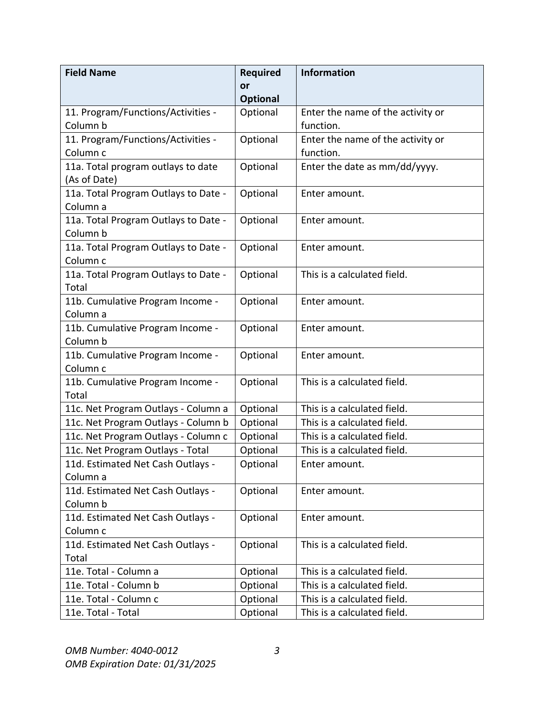| <b>Field Name</b>                    | <b>Required</b> | <b>Information</b>                |
|--------------------------------------|-----------------|-----------------------------------|
|                                      | or              |                                   |
|                                      | <b>Optional</b> |                                   |
| 11. Program/Functions/Activities -   | Optional        | Enter the name of the activity or |
| Column b                             |                 | function.                         |
| 11. Program/Functions/Activities -   | Optional        | Enter the name of the activity or |
| Column c                             |                 | function.                         |
| 11a. Total program outlays to date   | Optional        | Enter the date as mm/dd/yyyy.     |
| (As of Date)                         |                 |                                   |
| 11a. Total Program Outlays to Date - | Optional        | Enter amount.                     |
| Column a                             |                 |                                   |
| 11a. Total Program Outlays to Date - | Optional        | Enter amount.                     |
| Column b                             |                 |                                   |
| 11a. Total Program Outlays to Date - | Optional        | Enter amount.                     |
| Column c                             |                 |                                   |
| 11a. Total Program Outlays to Date - | Optional        | This is a calculated field.       |
| Total                                |                 |                                   |
| 11b. Cumulative Program Income -     | Optional        | Enter amount.                     |
| Column a                             |                 |                                   |
| 11b. Cumulative Program Income -     | Optional        | Enter amount.                     |
| Column b                             |                 |                                   |
| 11b. Cumulative Program Income -     | Optional        | Enter amount.                     |
| Column <sub>c</sub>                  |                 |                                   |
| 11b. Cumulative Program Income -     | Optional        | This is a calculated field.       |
| Total                                |                 |                                   |
| 11c. Net Program Outlays - Column a  | Optional        | This is a calculated field.       |
| 11c. Net Program Outlays - Column b  | Optional        | This is a calculated field.       |
| 11c. Net Program Outlays - Column c  | Optional        | This is a calculated field.       |
| 11c. Net Program Outlays - Total     | Optional        | This is a calculated field.       |
| 11d. Estimated Net Cash Outlays -    | Optional        | Enter amount.                     |
| Column a                             |                 |                                   |
| 11d. Estimated Net Cash Outlays -    | Optional        | Enter amount.                     |
| Column b                             |                 |                                   |
| 11d. Estimated Net Cash Outlays -    | Optional        | Enter amount.                     |
| Column c                             |                 |                                   |
| 11d. Estimated Net Cash Outlays -    | Optional        | This is a calculated field.       |
| Total                                |                 |                                   |
| 11e. Total - Column a                | Optional        | This is a calculated field.       |
| 11e. Total - Column b                | Optional        | This is a calculated field.       |
| 11e. Total - Column c                | Optional        | This is a calculated field.       |
| 11e. Total - Total                   | Optional        | This is a calculated field.       |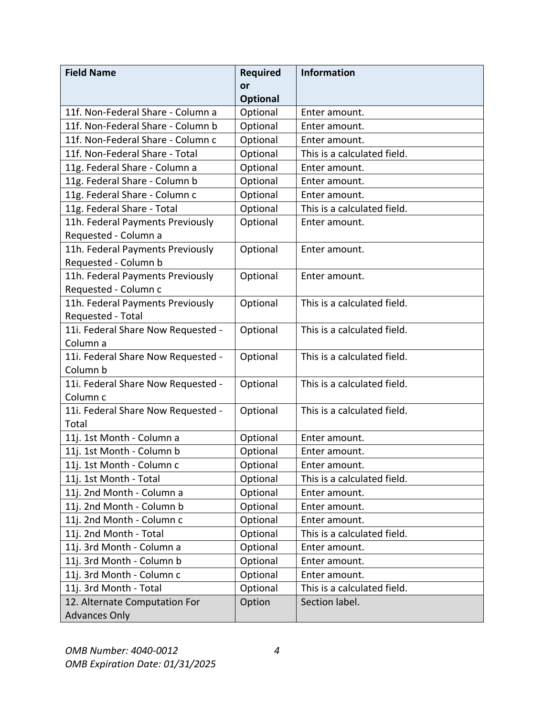| <b>Field Name</b>                  | <b>Required</b> | <b>Information</b>          |
|------------------------------------|-----------------|-----------------------------|
|                                    | or              |                             |
|                                    | <b>Optional</b> |                             |
| 11f. Non-Federal Share - Column a  | Optional        | Enter amount.               |
| 11f. Non-Federal Share - Column b  | Optional        | Enter amount.               |
| 11f. Non-Federal Share - Column c  | Optional        | Enter amount.               |
| 11f. Non-Federal Share - Total     | Optional        | This is a calculated field. |
| 11g. Federal Share - Column a      | Optional        | Enter amount.               |
| 11g. Federal Share - Column b      | Optional        | Enter amount.               |
| 11g. Federal Share - Column c      | Optional        | Enter amount.               |
| 11g. Federal Share - Total         | Optional        | This is a calculated field. |
| 11h. Federal Payments Previously   | Optional        | Enter amount.               |
| Requested - Column a               |                 |                             |
| 11h. Federal Payments Previously   | Optional        | Enter amount.               |
| Requested - Column b               |                 |                             |
| 11h. Federal Payments Previously   | Optional        | Enter amount.               |
| Requested - Column c               |                 |                             |
| 11h. Federal Payments Previously   | Optional        | This is a calculated field. |
| Requested - Total                  |                 |                             |
| 11i. Federal Share Now Requested - | Optional        | This is a calculated field. |
| Column a                           |                 |                             |
| 11i. Federal Share Now Requested - | Optional        | This is a calculated field. |
| Column b                           |                 |                             |
| 11i. Federal Share Now Requested - | Optional        | This is a calculated field. |
| Column <sub>c</sub>                |                 |                             |
| 11i. Federal Share Now Requested - | Optional        | This is a calculated field. |
| Total                              |                 |                             |
| 11j. 1st Month - Column a          | Optional        | Enter amount.               |
| 11j. 1st Month - Column b          | Optional        | Enter amount.               |
| 11j. 1st Month - Column c          | Optional        | Enter amount.               |
| 11j. 1st Month - Total             | Optional        | This is a calculated field. |
| 11j. 2nd Month - Column a          | Optional        | Enter amount.               |
| 11j. 2nd Month - Column b          | Optional        | Enter amount.               |
| 11j. 2nd Month - Column c          | Optional        | Enter amount.               |
| 11j. 2nd Month - Total             | Optional        | This is a calculated field. |
| 11j. 3rd Month - Column a          | Optional        | Enter amount.               |
| 11j. 3rd Month - Column b          | Optional        | Enter amount.               |
| 11j. 3rd Month - Column c          | Optional        | Enter amount.               |
| 11j. 3rd Month - Total             | Optional        | This is a calculated field. |
| 12. Alternate Computation For      | Option          | Section label.              |
| <b>Advances Only</b>               |                 |                             |